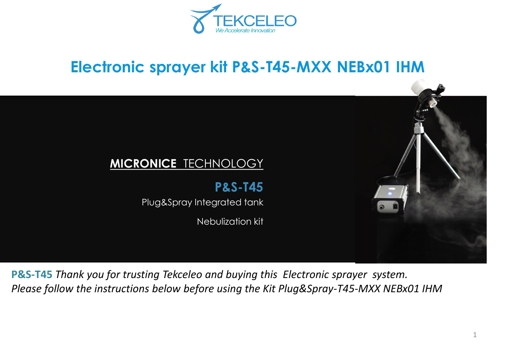

# **Electronic sprayer kit P&S-T45-MXX NEBx01 IHM**



**P&S-T45** *Thank you for trusting Tekceleo and buying this Electronic sprayer system. Please follow the instructions below before using the Kit Plug&Spray-T45-MXX NEBx01 IHM*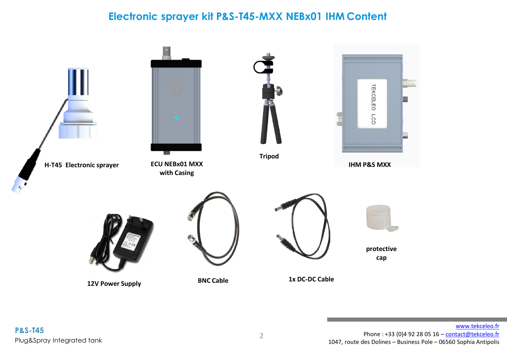### **Electronic sprayer kit P&S-T45-MXX NEBx01 IHM Content**

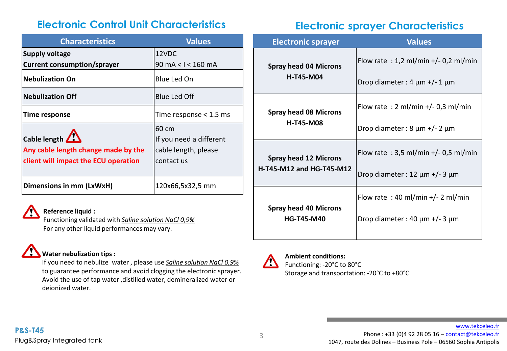## **Electronic Control Unit Characteristics Electronic sprayer Characteristics**

| <b>Characteristics</b>               | <b>Values</b>            |
|--------------------------------------|--------------------------|
| <b>Supply voltage</b>                | 12VDC                    |
| <b>Current consumption/sprayer</b>   | 90 mA < I < 160 mA       |
| <b>Nebulization On</b>               | Blue Led On              |
| <b>Nebulization Off</b>              | <b>Blue Led Off</b>      |
| <b>Time response</b>                 | Time response $<$ 1.5 ms |
|                                      | 60 cm                    |
| Cable length $\sqrt{\phantom{a}}$    | If you need a different  |
| Any cable length change made by the  | cable length, please     |
| client will impact the ECU operation | contact us               |
|                                      |                          |
| Dimensions in mm (LxWxH)             | 120x66,5x32,5 mm         |

### **Reference liquid :**

Functioning validated with *Saline solution NaCl 0,9%*  For any other liquid performances may vary.

### **Water nebulization tips :**

If you need to nebulize water , please use *Saline solution NaCl 0,9%*  to guarantee performance and avoid clogging the electronic sprayer. Avoid the use of tap water ,distilled water, demineralized water or deionized water.

| <b>Electronic sprayer</b>                                | <b>Values</b>                            |
|----------------------------------------------------------|------------------------------------------|
| <b>Spray head 04 Microns</b><br><b>H-T45-M04</b>         | Flow rate : 1,2 ml/min +/- 0,2 ml/min    |
|                                                          | Drop diameter : 4 $\mu$ m +/- 1 $\mu$ m  |
| <b>Spray head 08 Microns</b><br><b>H-T45-M08</b>         | Flow rate : 2 ml/min $+/-$ 0,3 ml/min    |
|                                                          | Drop diameter : $8 \mu m$ +/- 2 $\mu m$  |
| <b>Spray head 12 Microns</b><br>H-T45-M12 and HG-T45-M12 | Flow rate: $3.5$ ml/min +/- 0.5 ml/min   |
|                                                          | Drop diameter : 12 $\mu$ m +/- 3 $\mu$ m |
| <b>Spray head 40 Microns</b><br><b>HG-T45-M40</b>        | Flow rate: $40$ ml/min $+/- 2$ ml/min    |
|                                                          | Drop diameter : 40 $\mu$ m +/- 3 $\mu$ m |
|                                                          |                                          |



#### **Ambient conditions:** Functioning: -20°C to 80°C Storage and transportation: -20°C to +80°C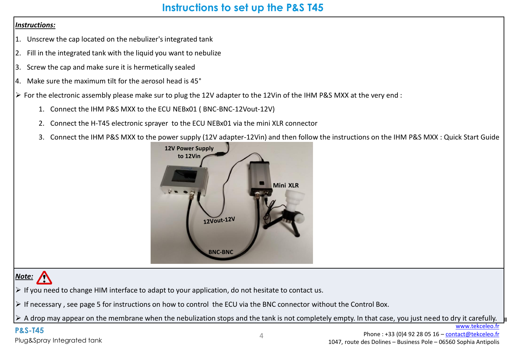### **Instructions to set up the P&S T45**

#### *Instructions:*

- 1. Unscrew the cap located on the nebulizer's integrated tank
- 2. Fill in the integrated tank with the liquid you want to nebulize
- 3. Screw the cap and make sure it is hermetically sealed
- 4. Make sure the maximum tilt for the aerosol head is 45°
- $\triangleright$  For the electronic assembly please make sur to plug the 12V adapter to the 12Vin of the IHM P&S MXX at the very end :
	- 1. Connect the IHM P&S MXX to the ECU NEBx01 ( BNC-BNC-12Vout-12V)
	- 2. Connect the H-T45 electronic sprayer to the ECU NEBx01 via the mini XLR connector
	- 3. Connect the IHM P&S MXX to the power supply (12V adapter-12Vin) and then follow the instructions on the IHM P&S MXX : Quick Start Guide



## *Note:*

 $\triangleright$  If you need to change HIM interface to adapt to your application, do not hesitate to contact us.

➢ If necessary , see page 5 for instructions on how to control the ECU via the BNC connector without the Control Box.

 $\triangleright$  A drop may appear on the membrane when the nebulization stops and the tank is not completely empty. In that case, you just need to dry it carefully.

### **P&S-T45**

Plug&Spray Integrated tank

[www.tekceleo.fr](http://www.tekceleo.fr/)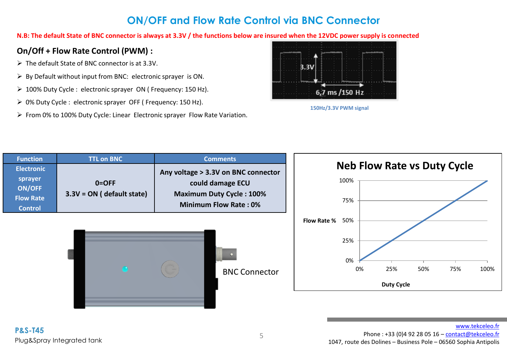### **ON/OFF and Flow Rate Control via BNC Connector**

**N.B: The default State of BNC connector is always at 3.3V / the functions below are insured when the 12VDC power supply is connected**

### **On/Off + Flow Rate Control (PWM) :**

- ➢ The default State of BNC connector is at 3.3V.
- $\triangleright$  By Default without input from BNC: electronic sprayer is ON.
- ➢ 100% Duty Cycle : electronic sprayer ON ( Frequency: 150 Hz).
- ➢ 0% Duty Cycle : electronic sprayer OFF ( Frequency: 150 Hz).
- ➢ From 0% to 100% Duty Cycle: Linear Electronic sprayer Flow Rate Variation.





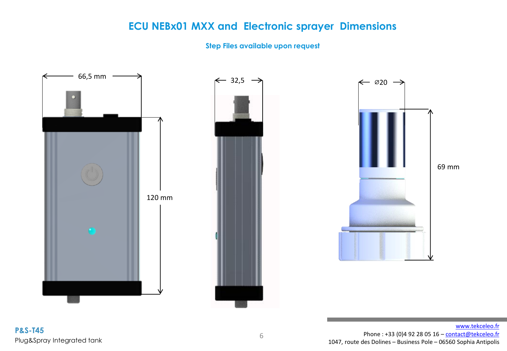### **ECU NEBx01 MXX and Electronic sprayer Dimensions**

#### **Step Files available upon request**

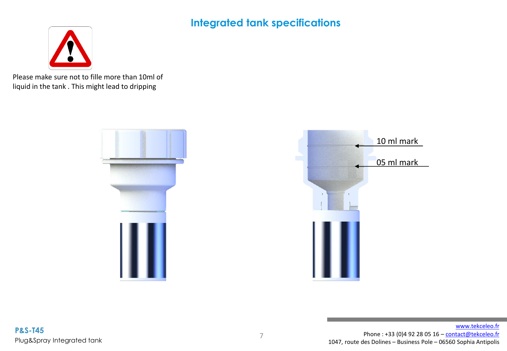**Integrated tank specifications**



Please make sure not to fille more than 10ml of liquid in the tank . This might lead to dripping



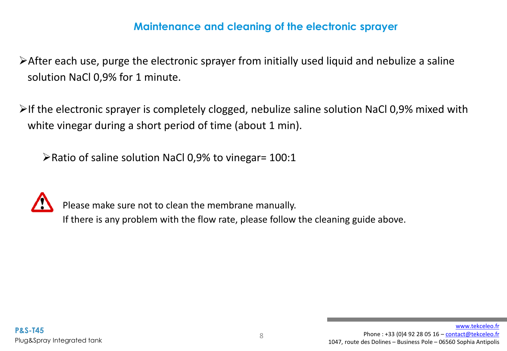### **Maintenance and cleaning of the electronic sprayer**

➢After each use, purge the electronic sprayer from initially used liquid and nebulize a saline solution NaCl 0,9% for 1 minute.

 $\triangleright$ If the electronic sprayer is completely clogged, nebulize saline solution NaCl 0,9% mixed with white vinegar during a short period of time (about 1 min).

➢Ratio of saline solution NaCl 0,9% to vinegar= 100:1



Please make sure not to clean the membrane manually.

If there is any problem with the flow rate, please follow the cleaning guide above.